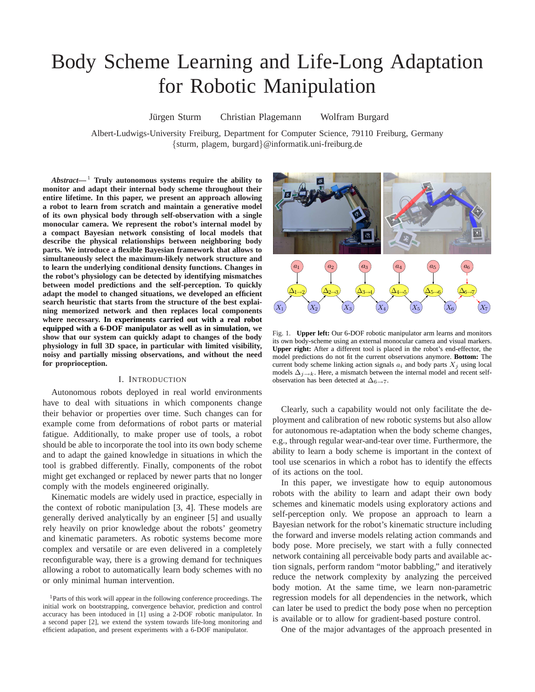# Body Scheme Learning and Life-Long Adaptation for Robotic Manipulation

Jürgen Sturm Christian Plagemann Wolfram Burgard

Albert-Ludwigs-University Freiburg, Department for Computer Science, 79110 Freiburg, Germany {sturm, plagem, burgard}@informatik.uni-freiburg.de

*Abstract***—**<sup>1</sup> **Truly autonomous systems require the ability to monitor and adapt their internal body scheme throughout their entire lifetime. In this paper, we present an approach allowing a robot to learn from scratch and maintain a generative model of its own physical body through self-observation with a single monocular camera. We represent the robot's internal model by a compact Bayesian network consisting of local models that describe the physical relationships between neighboring body parts. We introduce a flexible Bayesian framework that allows to simultaneously select the maximum-likely network structure and to learn the underlying conditional density functions. Changes in the robot's physiology can be detected by identifying mismatches between model predictions and the self-perception. To quickly adapt the model to changed situations, we developed an efficient search heuristic that starts from the structure of the best explaining memorized network and then replaces local components where necessary. In experiments carried out with a real robot equipped with a 6-DOF manipulator as well as in simulation, we show that our system can quickly adapt to changes of the body physiology in full 3D space, in particular with limited visibility, noisy and partially missing observations, and without the need for proprioception.**

## I. INTRODUCTION

Autonomous robots deployed in real world environments have to deal with situations in which components change their behavior or properties over time. Such changes can for example come from deformations of robot parts or material fatigue. Additionally, to make proper use of tools, a robot should be able to incorporate the tool into its own body scheme and to adapt the gained knowledge in situations in which the tool is grabbed differently. Finally, components of the robot might get exchanged or replaced by newer parts that no longer comply with the models engineered originally.

Kinematic models are widely used in practice, especially in the context of robotic manipulation [3, 4]. These models are generally derived analytically by an engineer [5] and usually rely heavily on prior knowledge about the robots' geometry and kinematic parameters. As robotic systems become more complex and versatile or are even delivered in a completely reconfigurable way, there is a growing demand for techniques allowing a robot to automatically learn body schemes with no or only minimal human intervention.



Fig. 1. **Upper left:** Our 6-DOF robotic manipulator arm learns and monitors its own body-scheme using an external monocular camera and visual markers. **Upper right:** After a different tool is placed in the robot's end-effector, the model predictions do not fit the current observations anymore. **Bottom:** The current body scheme linking action signals  $a_i$  and body parts  $X_j$  using local models  $\Delta_{j\rightarrow k}$ . Here, a mismatch between the internal model and recent selfobservation has been detected at  $\Delta_{6\rightarrow 7}$ .

Clearly, such a capability would not only facilitate the deployment and calibration of new robotic systems but also allow for autonomous re-adaptation when the body scheme changes, e.g., through regular wear-and-tear over time. Furthermore, the ability to learn a body scheme is important in the context of tool use scenarios in which a robot has to identify the effects of its actions on the tool.

In this paper, we investigate how to equip autonomous robots with the ability to learn and adapt their own body schemes and kinematic models using exploratory actions and self-perception only. We propose an approach to learn a Bayesian network for the robot's kinematic structure including the forward and inverse models relating action commands and body pose. More precisely, we start with a fully connected network containing all perceivable body parts and available action signals, perform random "motor babbling," and iteratively reduce the network complexity by analyzing the perceived body motion. At the same time, we learn non-parametric regression models for all dependencies in the network, which can later be used to predict the body pose when no perception is available or to allow for gradient-based posture control.

One of the major advantages of the approach presented in

<sup>1</sup>Parts of this work will appear in the following conference proceedings. The initial work on bootstrapping, convergence behavior, prediction and control accuracy has been intoduced in [1] using a 2-DOF robotic manipulator. In a second paper [2], we extend the system towards life-long monitoring and efficient adapation, and present experiments with a 6-DOF manipulator.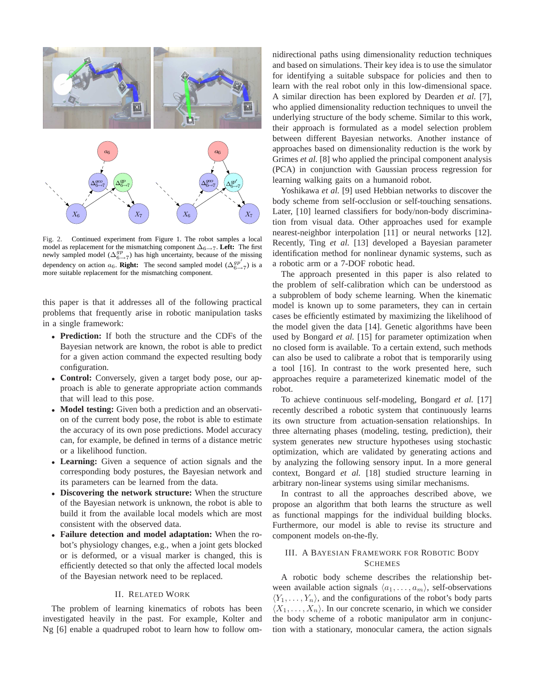

Fig. 2. Continued experiment from Figure 1. The robot samples a local model as replacement for the mismatching component  $\Delta_{6\rightarrow 7}$ . **Left:** The first newly sampled model ( $\Delta_{6\rightarrow 7}^{gp}$ ) has high uncertainty, because of the missing dependency on action  $a_6$ . **Right:** The second sampled model ( $\Delta_{6\rightarrow 7}^{gp'}$ ) is a more suitable replacement for the mismatching component.

this paper is that it addresses all of the following practical problems that frequently arise in robotic manipulation tasks in a single framework:

- **Prediction:** If both the structure and the CDFs of the Bayesian network are known, the robot is able to predict for a given action command the expected resulting body configuration.
- **Control:** Conversely, given a target body pose, our approach is able to generate appropriate action commands that will lead to this pose.
- **Model testing:** Given both a prediction and an observation of the current body pose, the robot is able to estimate the accuracy of its own pose predictions. Model accuracy can, for example, be defined in terms of a distance metric or a likelihood function.
- **Learning:** Given a sequence of action signals and the corresponding body postures, the Bayesian network and its parameters can be learned from the data.
- **Discovering the network structure:** When the structure of the Bayesian network is unknown, the robot is able to build it from the available local models which are most consistent with the observed data.
- **Failure detection and model adaptation:** When the robot's physiology changes, e.g., when a joint gets blocked or is deformed, or a visual marker is changed, this is efficiently detected so that only the affected local models of the Bayesian network need to be replaced.

#### II. RELATED WORK

The problem of learning kinematics of robots has been investigated heavily in the past. For example, Kolter and Ng [6] enable a quadruped robot to learn how to follow om-

nidirectional paths using dimensionality reduction techniques and based on simulations. Their key idea is to use the simulator for identifying a suitable subspace for policies and then to learn with the real robot only in this low-dimensional space. A similar direction has been explored by Dearden *et al.* [7], who applied dimensionality reduction techniques to unveil the underlying structure of the body scheme. Similar to this work, their approach is formulated as a model selection problem between different Bayesian networks. Another instance of approaches based on dimensionality reduction is the work by Grimes *et al.* [8] who applied the principal component analysis (PCA) in conjunction with Gaussian process regression for learning walking gaits on a humanoid robot.

Yoshikawa *et al.* [9] used Hebbian networks to discover the body scheme from self-occlusion or self-touching sensations. Later, [10] learned classifiers for body/non-body discrimination from visual data. Other approaches used for example nearest-neighbor interpolation [11] or neural networks [12]. Recently, Ting *et al.* [13] developed a Bayesian parameter identification method for nonlinear dynamic systems, such as a robotic arm or a 7-DOF robotic head.

The approach presented in this paper is also related to the problem of self-calibration which can be understood as a subproblem of body scheme learning. When the kinematic model is known up to some parameters, they can in certain cases be efficiently estimated by maximizing the likelihood of the model given the data [14]. Genetic algorithms have been used by Bongard *et al.* [15] for parameter optimization when no closed form is available. To a certain extend, such methods can also be used to calibrate a robot that is temporarily using a tool [16]. In contrast to the work presented here, such approaches require a parameterized kinematic model of the robot.

To achieve continuous self-modeling, Bongard *et al.* [17] recently described a robotic system that continuously learns its own structure from actuation-sensation relationships. In three alternating phases (modeling, testing, prediction), their system generates new structure hypotheses using stochastic optimization, which are validated by generating actions and by analyzing the following sensory input. In a more general context, Bongard *et al.* [18] studied structure learning in arbitrary non-linear systems using similar mechanisms.

In contrast to all the approaches described above, we propose an algorithm that both learns the structure as well as functional mappings for the individual building blocks. Furthermore, our model is able to revise its structure and component models on-the-fly.

# III. A BAYESIAN FRAMEWORK FOR ROBOTIC BODY **SCHEMES**

A robotic body scheme describes the relationship between available action signals  $\langle a_1, \ldots, a_m \rangle$ , self-observations  $\langle Y_1, \ldots, Y_n \rangle$ , and the configurations of the robot's body parts  $\langle X_1, \ldots, X_n \rangle$ . In our concrete scenario, in which we consider the body scheme of a robotic manipulator arm in conjunction with a stationary, monocular camera, the action signals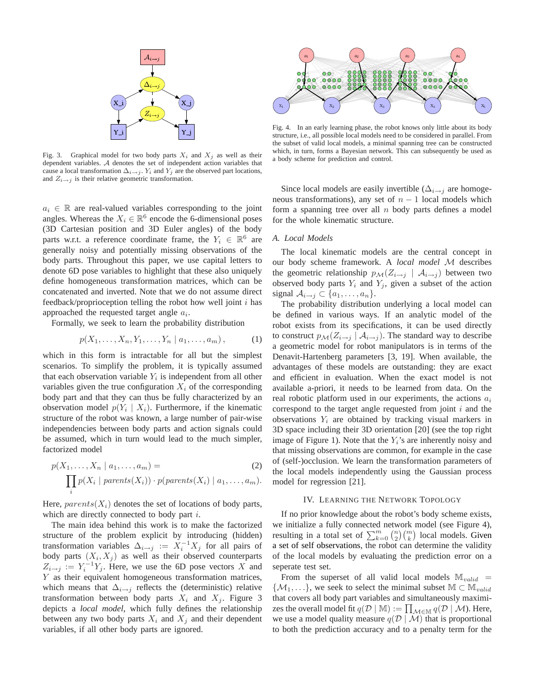

Fig. 3. Graphical model for two body parts  $X_i$  and  $X_j$  as well as their dependent variables. A denotes the set of independent action variables that cause a local transformation  $\Delta_{i\rightarrow j}$ . Y<sub>i</sub> and Y<sub>j</sub> are the observed part locations, and  $Z_{i\rightarrow j}$  is their relative geometric transformation.

 $a_i \in \mathbb{R}$  are real-valued variables corresponding to the joint angles. Whereas the  $X_i \in \mathbb{R}^6$  encode the 6-dimensional poses (3D Cartesian position and 3D Euler angles) of the body parts w.r.t. a reference coordinate frame, the  $Y_i \in \mathbb{R}^6$  are generally noisy and potentially missing observations of the body parts. Throughout this paper, we use capital letters to denote 6D pose variables to highlight that these also uniquely define homogeneous transformation matrices, which can be concatenated and inverted. Note that we do not assume direct feedback/proprioception telling the robot how well joint  $i$  has approached the requested target angle  $a_i$ .

Formally, we seek to learn the probability distribution

$$
p(X_1, ..., X_n, Y_1, ..., Y_n | a_1, ..., a_m),
$$
 (1)

which in this form is intractable for all but the simplest scenarios. To simplify the problem, it is typically assumed that each observation variable  $Y_i$  is independent from all other variables given the true configuration  $X_i$  of the corresponding body part and that they can thus be fully characterized by an observation model  $p(Y_i | X_i)$ . Furthermore, if the kinematic structure of the robot was known, a large number of pair-wise independencies between body parts and action signals could be assumed, which in turn would lead to the much simpler, factorized model

$$
p(X_1, \ldots, X_n \mid a_1, \ldots, a_m) = \n\prod_i p(X_i \mid parents(X_i)) \cdot p(\text{parents}(X_i) \mid a_1, \ldots, a_m).
$$
\n(2)

Here,  $parents(X_i)$  denotes the set of locations of body parts, which are directly connected to body part  $i$ .

The main idea behind this work is to make the factorized structure of the problem explicit by introducing (hidden) transformation variables  $\Delta_{i\to j}$  :=  $\overline{X}_i^{-1}X_j$  for all pairs of body parts  $(X_i, X_j)$  as well as their observed counterparts  $Z_{i\rightarrow j} := Y_i^{-1}Y_j$ . Here, we use the 6D pose vectors X and Y as their equivalent homogeneous transformation matrices, which means that  $\Delta_{i\rightarrow j}$  reflects the (deterministic) relative transformation between body parts  $X_i$  and  $X_j$ . Figure 3 depicts a *local model*, which fully defines the relationship between any two body parts  $X_i$  and  $X_j$  and their dependent variables, if all other body parts are ignored.



Fig. 4. In an early learning phase, the robot knows only little about its body structure, i.e., all possible local models need to be considered in parallel. From the subset of valid local models, a minimal spanning tree can be constructed which, in turn, forms a Bayesian network. This can subsequently be used as a body scheme for prediction and control.

Since local models are easily invertible ( $\Delta_{i\rightarrow j}$  are homogeneous transformations), any set of  $n - 1$  local models which form a spanning tree over all  $n$  body parts defines a model for the whole kinematic structure.

#### *A. Local Models*

The local kinematic models are the central concept in our body scheme framework. A *local model* M describes the geometric relationship  $p_{\mathcal{M}}(Z_{i\rightarrow j} | \mathcal{A}_{i\rightarrow j})$  between two observed body parts  $Y_i$  and  $Y_j$ , given a subset of the action signal  $A_{i\rightarrow j} \subset \{a_1, \ldots, a_n\}.$ 

The probability distribution underlying a local model can be defined in various ways. If an analytic model of the robot exists from its specifications, it can be used directly to construct  $p_{\mathcal{M}}(Z_{i\rightarrow j} | \mathcal{A}_{i\rightarrow j})$ . The standard way to describe a geometric model for robot manipulators is in terms of the Denavit-Hartenberg parameters [3, 19]. When available, the advantages of these models are outstanding: they are exact and efficient in evaluation. When the exact model is not available a-priori, it needs to be learned from data. On the real robotic platform used in our experiments, the actions  $a_i$ correspond to the target angle requested from joint  $i$  and the observations  $Y_i$  are obtained by tracking visual markers in 3D space including their 3D orientation [20] (see the top right image of Figure 1). Note that the  $Y_i$ 's are inherently noisy and that missing observations are common, for example in the case of (self-)occlusion. We learn the transformation parameters of the local models independently using the Gaussian process model for regression [21].

#### IV. LEARNING THE NETWORK TOPOLOGY

If no prior knowledge about the robot's body scheme exists, we initialize a fully connected network model (see Figure 4), resulting in a total set of  $\sum_{k=0}^{m} {n \choose 2} {m \choose k}$  local models. Given a set of self observations, the robot can determine the validity of the local models by evaluating the prediction error on a seperate test set.

From the superset of all valid local models  $\mathbb{M}_{valid}$  =  $\{\mathcal{M}_1,\ldots\}$ , we seek to select the minimal subset  $\mathbb{M} \subset \mathbb{M}_{valid}$ that covers all body part variables and simultaneously maximizes the overall model fit  $q(\mathcal{D} \mid \mathbb{M}) := \prod_{\mathcal{M} \in \mathbb{M}} q(\mathcal{D} \mid \mathcal{M})$ . Here, we use a model quality measure  $q(\mathcal{D} | \mathcal{M})$  that is proportional to both the prediction accuracy and to a penalty term for the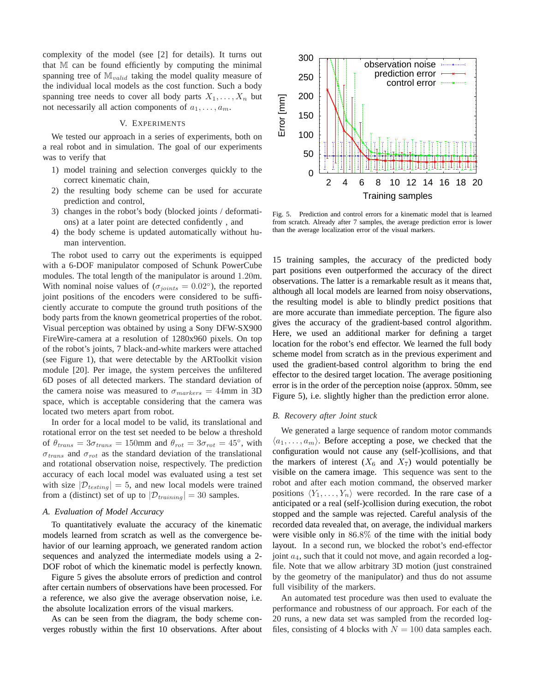complexity of the model (see [2] for details). It turns out that M can be found efficiently by computing the minimal spanning tree of  $\mathbb{M}_{valid}$  taking the model quality measure of the individual local models as the cost function. Such a body spanning tree needs to cover all body parts  $X_1, \ldots, X_n$  but not necessarily all action components of  $a_1, \ldots, a_m$ .

## V. EXPERIMENTS

We tested our approach in a series of experiments, both on a real robot and in simulation. The goal of our experiments was to verify that

- 1) model training and selection converges quickly to the correct kinematic chain,
- 2) the resulting body scheme can be used for accurate prediction and control,
- 3) changes in the robot's body (blocked joints / deformations) at a later point are detected confidently , and
- 4) the body scheme is updated automatically without human intervention.

The robot used to carry out the experiments is equipped with a 6-DOF manipulator composed of Schunk PowerCube modules. The total length of the manipulator is around 1.20m. With nominal noise values of  $(\sigma_{points} = 0.02^{\circ})$ , the reported joint positions of the encoders were considered to be sufficiently accurate to compute the ground truth positions of the body parts from the known geometrical properties of the robot. Visual perception was obtained by using a Sony DFW-SX900 FireWire-camera at a resolution of 1280x960 pixels. On top of the robot's joints, 7 black-and-white markers were attached (see Figure 1), that were detectable by the ARToolkit vision module [20]. Per image, the system perceives the unfiltered 6D poses of all detected markers. The standard deviation of the camera noise was measured to  $\sigma_{marks} = 44$ mm in 3D space, which is acceptable considering that the camera was located two meters apart from robot.

In order for a local model to be valid, its translational and rotational error on the test set needed to be below a threshold of  $\theta_{trans} = 3\sigma_{trans} = 150$ mm and  $\theta_{rot} = 3\sigma_{rot} = 45^{\circ}$ , with  $\sigma_{trans}$  and  $\sigma_{rot}$  as the standard deviation of the translational and rotational observation noise, respectively. The prediction accuracy of each local model was evaluated using a test set with size  $|\mathcal{D}_{testing}| = 5$ , and new local models were trained from a (distinct) set of up to  $|\mathcal{D}_{training}| = 30$  samples.

#### *A. Evaluation of Model Accuracy*

To quantitatively evaluate the accuracy of the kinematic models learned from scratch as well as the convergence behavior of our learning approach, we generated random action sequences and analyzed the intermediate models using a 2- DOF robot of which the kinematic model is perfectly known.

Figure 5 gives the absolute errors of prediction and control after certain numbers of observations have been processed. For a reference, we also give the average observation noise, i.e. the absolute localization errors of the visual markers.

As can be seen from the diagram, the body scheme converges robustly within the first 10 observations. After about



Fig. 5. Prediction and control errors for a kinematic model that is learned from scratch. Already after 7 samples, the average prediction error is lower than the average localization error of the visual markers.

15 training samples, the accuracy of the predicted body part positions even outperformed the accuracy of the direct observations. The latter is a remarkable result as it means that, although all local models are learned from noisy observations, the resulting model is able to blindly predict positions that are more accurate than immediate perception. The figure also gives the accuracy of the gradient-based control algorithm. Here, we used an additional marker for defining a target location for the robot's end effector. We learned the full body scheme model from scratch as in the previous experiment and used the gradient-based control algorithm to bring the end effector to the desired target location. The average positioning error is in the order of the perception noise (approx. 50mm, see Figure 5), i.e. slightly higher than the prediction error alone.

#### *B. Recovery after Joint stuck*

We generated a large sequence of random motor commands  $\langle a_1, \ldots, a_m \rangle$ . Before accepting a pose, we checked that the configuration would not cause any (self-)collisions, and that the markers of interest  $(X_6$  and  $X_7$ ) would potentially be visible on the camera image. This sequence was sent to the robot and after each motion command, the observed marker positions  $\langle Y_1, \ldots, Y_n \rangle$  were recorded. In the rare case of a anticipated or a real (self-)collision during execution, the robot stopped and the sample was rejected. Careful analysis of the recorded data revealed that, on average, the individual markers were visible only in 86.8% of the time with the initial body layout. In a second run, we blocked the robot's end-effector joint  $a_4$ , such that it could not move, and again recorded a logfile. Note that we allow arbitrary 3D motion (just constrained by the geometry of the manipulator) and thus do not assume full visibility of the markers.

An automated test procedure was then used to evaluate the performance and robustness of our approach. For each of the 20 runs, a new data set was sampled from the recorded logfiles, consisting of 4 blocks with  $N = 100$  data samples each.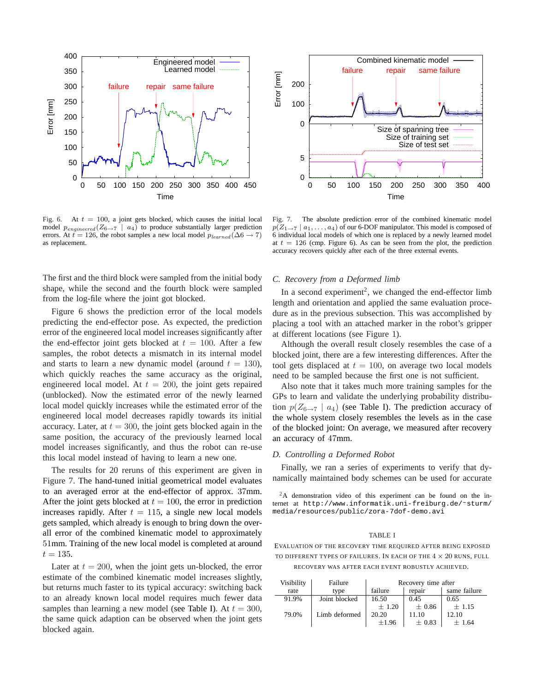

Fig. 6. At  $t = 100$ , a joint gets blocked, which causes the initial local model  $p_{engineered}(Z_{6\rightarrow 7} \mid a_4)$  to produce substantially larger prediction errors. At  $t = 126$ , the robot samples a new local model  $p_{learned}(\Delta 6 \rightarrow 7)$ as replacement.

The first and the third block were sampled from the initial body shape, while the second and the fourth block were sampled from the log-file where the joint got blocked.

Figure 6 shows the prediction error of the local models predicting the end-effector pose. As expected, the prediction error of the engineered local model increases significantly after the end-effector joint gets blocked at  $t = 100$ . After a few samples, the robot detects a mismatch in its internal model and starts to learn a new dynamic model (around  $t = 130$ ), which quickly reaches the same accuracy as the original, engineered local model. At  $t = 200$ , the joint gets repaired (unblocked). Now the estimated error of the newly learned local model quickly increases while the estimated error of the engineered local model decreases rapidly towards its initial accuracy. Later, at  $t = 300$ , the joint gets blocked again in the same position, the accuracy of the previously learned local model increases significantly, and thus the robot can re-use this local model instead of having to learn a new one.

The results for 20 reruns of this experiment are given in Figure 7. The hand-tuned initial geometrical model evaluates to an averaged error at the end-effector of approx. 37mm. After the joint gets blocked at  $t = 100$ , the error in prediction increases rapidly. After  $t = 115$ , a single new local models gets sampled, which already is enough to bring down the overall error of the combined kinematic model to approximately 51mm. Training of the new local model is completed at around  $t = 135.$ 

Later at  $t = 200$ , when the joint gets un-blocked, the error estimate of the combined kinematic model increases slightly, but returns much faster to its typical accuracy: switching back to an already known local model requires much fewer data samples than learning a new model (see Table I). At  $t = 300$ , the same quick adaption can be observed when the joint gets blocked again.



Fig. 7. The absolute prediction error of the combined kinematic model  $p(Z_{1\rightarrow 7} \mid a_1, \ldots, a_4)$  of our 6-DOF manipulator. This model is composed of 6 individual local models of which one is replaced by a newly learned model at  $t = 126$  (cmp. Figure 6). As can be seen from the plot, the prediction accuracy recovers quickly after each of the three external events.

## *C. Recovery from a Deformed limb*

In a second experiment<sup>2</sup>, we changed the end-effector limb length and orientation and applied the same evaluation procedure as in the previous subsection. This was accomplished by placing a tool with an attached marker in the robot's gripper at different locations (see Figure 1).

Although the overall result closely resembles the case of a blocked joint, there are a few interesting differences. After the tool gets displaced at  $t = 100$ , on average two local models need to be sampled because the first one is not sufficient.

Also note that it takes much more training samples for the GPs to learn and validate the underlying probability distribution  $p(Z_{6\rightarrow 7} \mid a_4)$  (see Table I). The prediction accuracy of the whole system closely resembles the levels as in the case of the blocked joint: On average, we measured after recovery an accuracy of 47mm.

#### *D. Controlling a Deformed Robot*

Finally, we ran a series of experiments to verify that dynamically maintained body schemes can be used for accurate

<sup>2</sup>A demonstration video of this experiment can be found on the internet at http://www.informatik.uni-freiburg.de/˜sturm/ media/resources/public/zora-7dof-demo.avi

#### TABLE I

EVALUATION OF THE RECOVERY TIME REQUIRED AFTER BEING EXPOSED TO DIFFERENT TYPES OF FAILURES. IN EACH OF THE  $4 \times 20$  RUNS, FULL RECOVERY WAS AFTER EACH EVENT ROBUSTLY ACHIEVED.

| Visibility | Failure       | Recovery time after            |                                   |                             |
|------------|---------------|--------------------------------|-----------------------------------|-----------------------------|
| rate       | type          | failure                        | repair                            | same failure                |
| 91.9%      | Joint blocked | 16.50                          | 0.45                              | 0.65                        |
| 79.0%      | Limb deformed | $\pm$ 1.20<br>20.20<br>$+1.96$ | $\pm 0.86$<br>11.10<br>$\pm$ 0.83 | $+1.15$<br>12.10<br>$+1.64$ |